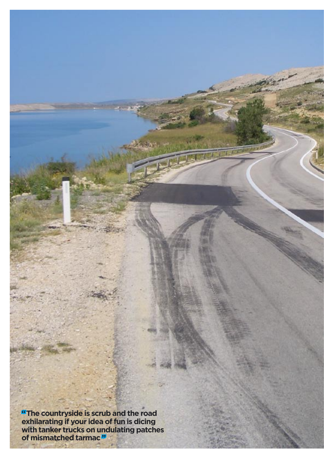**"The countryside is scrub and the road exhilarating if your idea of fun is dicing with tanker trucks on undulating patches of mismatched tarmac "**

tin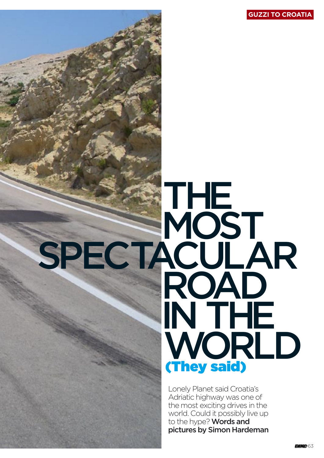

# SPECTACULAR

Lonely Planet said Croatia's Adriatic highway was one of the most exciting drives in the world. Could it possibly live up to the hype? Words and pictures by Simon Hardeman

(They said)

THE

**MOST** 

ROAD

IN THE

WORLD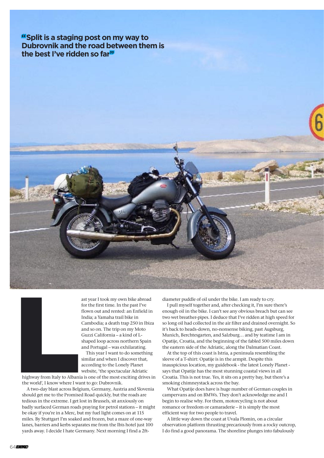**"Split is a staging post on my way to Dubrovnik and the road between them is the best I've ridden so far"**





ast year I took my own bike abroad for the first time. In the past I've flown out and rented: an Enfield in India; a Yamaha trail bike in Cambodia; a death trap 250 in Ibiza and so on. The trip on my Moto Guzzi California – a kind of Lshaped loop across northern Spain and Portugal – was exhilarating.

This year I want to do something similar and when I discover that, according to the Lonely Planet website, 'the spectacular Adriatic

highway from Italy to Albania is one of the most exciting drives in the world', I know where I want to go: Dubrovnik.

A two-day blast across Belgium, Germany, Austria and Slovenia should get me to the Promised Road quickly, but the roads are tedious in the extreme. I get lost in Brussels, sit anxiously on badly surfaced German roads praying for petrol stations – it might be okay if you're in a Merc, but my fuel light comes on at 115 miles. By Stuttgart I'm soaked and frozen, but a maze of one-way lanes, barriers and kerbs separates me from the Ibis hotel just 100 yards away. I decide I hate Germany. Next morning I find a 2ftdiameter puddle of oil under the bike. I am ready to cry.

I pull myself together and, after checking it, I'm sure there's enough oil in the bike. I can't see any obvious breach but can see two wet breather-pipes. I deduce that I've ridden at high speed for so long oil had collected in the air filter and drained overnight. So it's back to heads-down, no-nonsense biking, past Augsburg, Munich, Berchtesgarten, and Salzburg… and by teatime I am in Opatije, Croatia, and the beginning of the fabled 500 miles down the eastern side of the Adriatic, along the Dalmatian Coast.

At the top of this coast is Istria, a peninsula resembling the sleeve of a T-shirt: Opatije is in the armpit. Despite this inauspicious location, my guidebook - the latest Lonely Planet says that Opatije has the most stunning coastal views in all Croatia. This is not true. Yes, it sits on a pretty bay, but there's a smoking chimneystack across the bay.

What Opatije does have is huge number of German couples in campervans and on BMWs. They don't acknowledge me and I begin to realise why. For them, motorcycling is not about romance or freedom or camaraderie – it is simply the most efficient way for two people to travel.

A little way down the coast at Uvala Plomin, on a circular observation platform thrusting precariously from a rocky outcrop, I do find a good panorama. The shoreline plunges into fabulously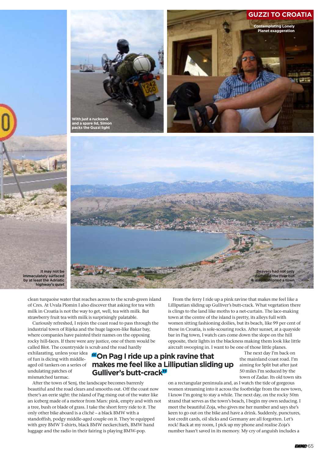### **GUZZI TO CROATIA**

**Contemplating Lonely Planet exaggeration**





clean turquoise water that reaches across to the scrub-green island of Cres. At Uvala Plomin I also discover that asking for tea with milk in Croatia is not the way to get, well, tea with milk. But strawberry fruit tea with milk is surprisingly palatable.

Curiously refreshed, I rejoin the coast road to pass through the industrial town of Rijeka and the huge lagoon-like Bakar bay, where companies have painted their names on the opposing rocky hill-faces. If there were any justice, one of them would be called Blot. The countryside is scrub and the road hardly

exhilarating, unless your idea of fun is dicing with middleaged oil tankers on a series of undulating patches of mismatched tarmac.

**It may not be immaculately surfaced by at least the Adriatic highway's quiet**

## **"On Pag I ride up a pink ravine that makes me feel like a Lilliputian sliding up Gulliver's butt-crack"**

After the town of Senj, the landscape becomes barrenly beautiful and the road clears and smooths out. Off the coast now there's an eerie sight: the island of Pag rising out of the water like an iceberg made of a meteor from Mars: pink, empty and with not a tree, bush or blade of grass. I take the short ferry ride to it. The only other bike aboard is a cliché – a black BMW with a standoffish, podgy middle-aged couple on it. They're equipped with grey BMW T-shirts, black BMW neckerchiefs, BMW hand luggage and the radio in their fairing is playing BMW-pop.

From the ferry I ride up a pink ravine that makes me feel like a Lilliputian sliding up Gulliver's butt-crack. What vegetation there is clings to the land like moths to a net-curtain. The lace-making town at the centre of the island is pretty, its alleys full with women sitting fashioning doilies, but its beach, like 99 per cent of those in Croatia, is sole-scouring rocks. After sunset, at a quayside bar in Pag town, I watch cars come down the slope on the hill opposite, their lights in the blackness making them look like little aircraft swooping in. I want to be one of those little planes.

> The next day I'm back on the mainland coast road. I'm aiming for Split but after just 50 miles I'm seduced by the town of Zadar. Its old town sits

on a rectangular peninsula and, as I watch the tide of gorgeous women streaming into it across the footbridge from the new town, I know I'm going to stay a while. The next day, on the rocky 50m strand that serves as the town's beach, I begin my own seducing. I meet the beautiful Zoja, who gives me her number and says she's keen to go out on the bike and have a drink. Suddenly, punctures, lost credit cards, oil slicks and Germany are all forgotten. Let's rock! Back at my room, I pick up my phone and realise Zoja's number hasn't saved in its memory. My cry of anguish includes a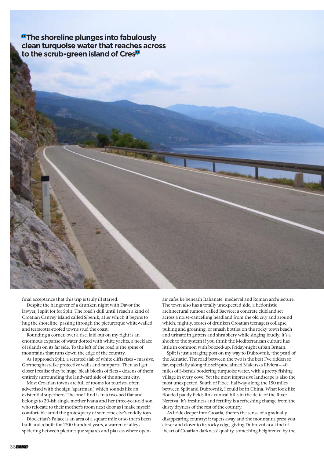**"The shoreline plunges into fabulously clean turquoise water that reaches across to the scrub-green island of Cres"**



final acceptance that this trip is truly ill starred.

Despite the hangover of a drunken night with Davor the lawyer, I split for for Split. The road's dull until I reach a kind of Croatian Canvey Island called Sibenik, after which it begins to hug the shoreline, passing through the picturesque white-walled and terracotta-roofed towns stud the coast.

Rounding a corner, over a rise, laid out on my right is an enormous expanse of water dotted with white yachts, a necklace of islands on its far side. To the left of the road is the spine of mountains that runs down the edge of the country.

As I approach Split, a serrated slab of white cliffs rises – massive, Gormenghast-like protective walls and ramparts. Then as I get closer I realise they're huge, bleak blocks of flats – dozens of them entirely surrounding the landward side of the ancient city.

Most Croatian towns are full of rooms for tourists, often advertised with the sign 'apartman', which sounds like an existential superhero. The one I find is in a two-bed flat and belongs to 20-ish single mother Ivana and her three-year-old son, who relocate to their mother's room next door as I make myself comfortable amid the grotesquery of someone else's cuddly toys.

Diocletian's Palace is an area of a square mile or so that's been built and rebuilt for 1700 hundred years, a warren of alleys spidering between picturesque squares and piazzas where openair cafes lie beneath Italianate, medieval and Roman architecture. The town also has a totally unexpected side, a hedonistic architectural tumour called Bacvice: a concrete clubland set across a noise-cancelling headland from the old city and around which, nightly, scores of drunken Croatian teenagers collapse, puking and groaning, or smash bottles on the rocky town beach and urinate in gutters and shrubbery while singing loudly. It's a shock to the system if you think the Mediterranean culture has little in common with boozed-up, Friday-night urban Britain.

Split is just a staging post on my way to Dubrovnik, 'the pearl of the Adriatic'. The road between the two is the best I've ridden so far, especially along the self-proclaimed Makarska Riviera – 40 miles of S-bends bordering turquoise water, with a pretty fishing village in every cove. Yet the most impressive landscape is also the most unexpected. South of Ploce, halfway along the 150 miles between Split and Dubrovnik, I could be in China. What look like flooded paddy fields link conical hills in the delta of the River Neretva. It's freshness and fertility is a refreshing change from the dusty dryness of the rest of the country.

As I ride deeper into Croatia, there's the sense of a gradually disappearing country: it tapers away and the mountains press you closer and closer to its rocky edge, giving Dubrovnika a kind of 'heart of Croatian darkness' quality, something heightened by the